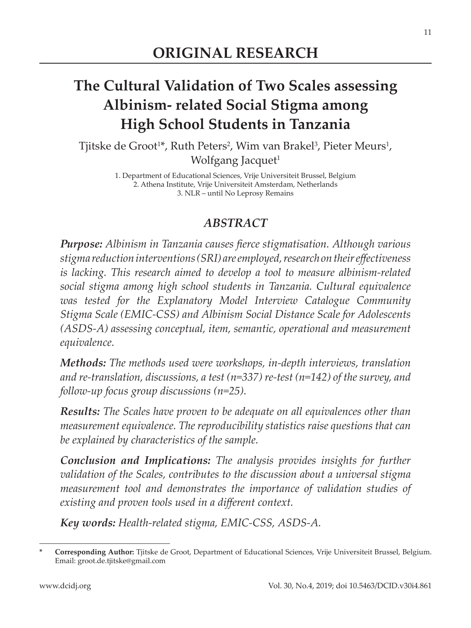# **The Cultural Validation of Two Scales assessing Albinism- related Social Stigma among High School Students in Tanzania**

Tjitske de Groot<sup>1\*</sup>, Ruth Peters<sup>2</sup>, Wim van Brakel<sup>3</sup>, Pieter Meurs<sup>1</sup>, Wolfgang Jacquet<sup>1</sup>

> 1. Department of Educational Sciences, Vrije Universiteit Brussel, Belgium 2. Athena Institute, Vrije Universiteit Amsterdam, Netherlands 3. NLR – until No Leprosy Remains

#### *ABSTRACT*

**Purpose:** Albinism in Tanzania causes fierce stigmatisation. Although various *stigma reduction interventions (SRI) are employed, research on their effectiveness is lacking. This research aimed to develop a tool to measure albinism-related social stigma among high school students in Tanzania. Cultural equivalence was tested for the Explanatory Model Interview Catalogue Community Stigma Scale (EMIC-CSS) and Albinism Social Distance Scale for Adolescents (ASDS-A) assessing conceptual, item, semantic, operational and measurement equivalence.*

*Methods: The methods used were workshops, in-depth interviews, translation and re-translation, discussions, a test (n=337) re-test (n=142) of the survey, and follow-up focus group discussions (n=25).*

*Results: The Scales have proven to be adequate on all equivalences other than measurement equivalence. The reproducibility statistics raise questions that can be explained by characteristics of the sample.*

*Conclusion and Implications: The analysis provides insights for further validation of the Scales, contributes to the discussion about a universal stigma measurement tool and demonstrates the importance of validation studies of existing and proven tools used in a different context.* 

*Key words: Health-related stigma, EMIC-CSS, ASDS-A.*

Corresponding Author: Tjitske de Groot, Department of Educational Sciences, Vrije Universiteit Brussel, Belgium. Email: groot.de.tjitske@gmail.com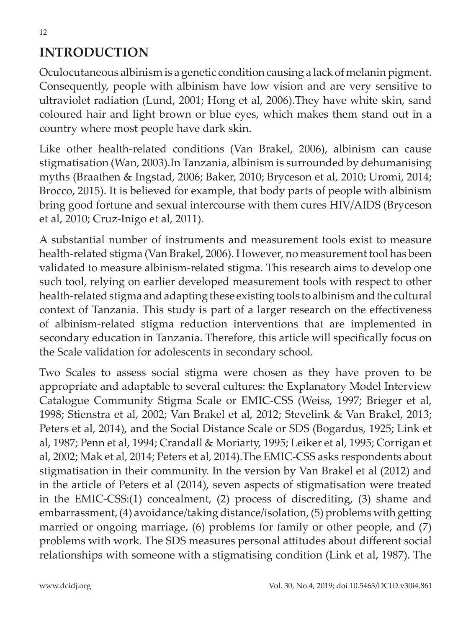Oculocutaneous albinism is a genetic condition causing a lack of melanin pigment. Consequently, people with albinism have low vision and are very sensitive to ultraviolet radiation (Lund, 2001; Hong et al, 2006).They have white skin, sand coloured hair and light brown or blue eyes, which makes them stand out in a country where most people have dark skin.

Like other health-related conditions (Van Brakel, 2006), albinism can cause stigmatisation (Wan, 2003).In Tanzania, albinism is surrounded by dehumanising myths (Braathen & Ingstad, 2006; Baker, 2010; Bryceson et al, 2010; Uromi, 2014; Brocco, 2015). It is believed for example, that body parts of people with albinism bring good fortune and sexual intercourse with them cures HIV/AIDS (Bryceson et al, 2010; Cruz-Inigo et al, 2011).

A substantial number of instruments and measurement tools exist to measure health-related stigma (Van Brakel, 2006). However, no measurement tool has been validated to measure albinism-related stigma. This research aims to develop one such tool, relying on earlier developed measurement tools with respect to other health-related stigma and adapting these existing tools to albinism and the cultural context of Tanzania. This study is part of a larger research on the effectiveness of albinism-related stigma reduction interventions that are implemented in secondary education in Tanzania. Therefore, this article will specifically focus on the Scale validation for adolescents in secondary school.

Two Scales to assess social stigma were chosen as they have proven to be appropriate and adaptable to several cultures: the Explanatory Model Interview Catalogue Community Stigma Scale or EMIC-CSS (Weiss, 1997; Brieger et al, 1998; Stienstra et al, 2002; Van Brakel et al, 2012; Stevelink & Van Brakel, 2013; Peters et al, 2014), and the Social Distance Scale or SDS (Bogardus, 1925; Link et al, 1987; Penn et al, 1994; Crandall & Moriarty, 1995; Leiker et al, 1995; Corrigan et al, 2002; Mak et al, 2014; Peters et al, 2014).The EMIC-CSS asks respondents about stigmatisation in their community. In the version by Van Brakel et al (2012) and in the article of Peters et al (2014), seven aspects of stigmatisation were treated in the EMIC-CSS:(1) concealment, (2) process of discrediting, (3) shame and embarrassment, (4) avoidance/taking distance/isolation, (5) problems with getting married or ongoing marriage, (6) problems for family or other people, and (7) problems with work. The SDS measures personal attitudes about different social relationships with someone with a stigmatising condition (Link et al, 1987). The

12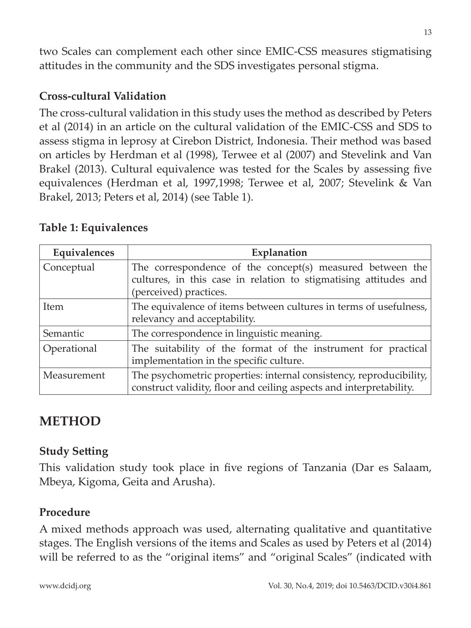two Scales can complement each other since EMIC-CSS measures stigmatising attitudes in the community and the SDS investigates personal stigma.

### **Cross-cultural Validation**

The cross-cultural validation in this study uses the method as described by Peters et al (2014) in an article on the cultural validation of the EMIC-CSS and SDS to assess stigma in leprosy at Cirebon District, Indonesia. Their method was based on articles by Herdman et al (1998), Terwee et al (2007) and Stevelink and Van Brakel (2013). Cultural equivalence was tested for the Scales by assessing five equivalences (Herdman et al, 1997,1998; Terwee et al, 2007; Stevelink & Van Brakel, 2013; Peters et al, 2014) (see Table 1).

| Equivalences | Explanation                                                                                                                                             |
|--------------|---------------------------------------------------------------------------------------------------------------------------------------------------------|
| Conceptual   | The correspondence of the concept(s) measured between the<br>cultures, in this case in relation to stigmatising attitudes and<br>(perceived) practices. |
| Item         | The equivalence of items between cultures in terms of usefulness,<br>relevancy and acceptability.                                                       |
| Semantic     | The correspondence in linguistic meaning.                                                                                                               |
| Operational  | The suitability of the format of the instrument for practical<br>implementation in the specific culture.                                                |
| Measurement  | The psychometric properties: internal consistency, reproducibility,<br>construct validity, floor and ceiling aspects and interpretability.              |

#### **Table 1: Equivalences**

## **METHOD**

#### **Study Setting**

This validation study took place in five regions of Tanzania (Dar es Salaam, Mbeya, Kigoma, Geita and Arusha).

#### **Procedure**

A mixed methods approach was used, alternating qualitative and quantitative stages. The English versions of the items and Scales as used by Peters et al (2014) will be referred to as the "original items" and "original Scales" (indicated with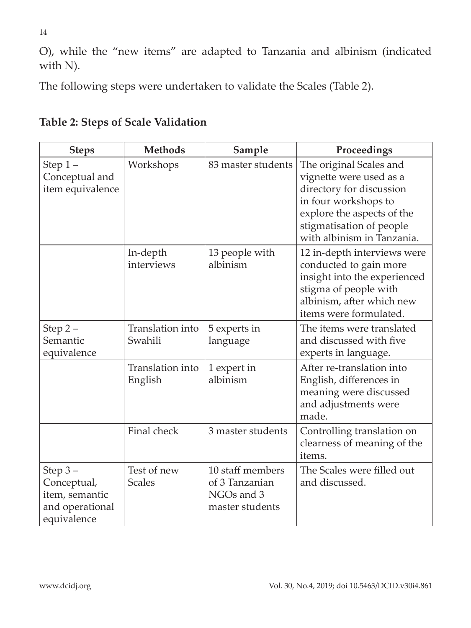O), while the "new items" are adapted to Tanzania and albinism (indicated with N).

The following steps were undertaken to validate the Scales (Table 2).

| <b>Steps</b>                                                                 | <b>Methods</b>               | Sample                                                              | Proceedings                                                                                                                                                                                    |
|------------------------------------------------------------------------------|------------------------------|---------------------------------------------------------------------|------------------------------------------------------------------------------------------------------------------------------------------------------------------------------------------------|
| Step $1-$<br>Conceptual and<br>item equivalence                              | Workshops                    | 83 master students                                                  | The original Scales and<br>vignette were used as a<br>directory for discussion<br>in four workshops to<br>explore the aspects of the<br>stigmatisation of people<br>with albinism in Tanzania. |
|                                                                              | In-depth<br>interviews       | 13 people with<br>albinism                                          | 12 in-depth interviews were<br>conducted to gain more<br>insight into the experienced<br>stigma of people with<br>albinism, after which new<br>items were formulated.                          |
| Step $2-$<br>Semantic<br>equivalence                                         | Translation into<br>Swahili  | 5 experts in<br>language                                            | The items were translated<br>and discussed with five<br>experts in language.                                                                                                                   |
|                                                                              | Translation into<br>English  | 1 expert in<br>albinism                                             | After re-translation into<br>English, differences in<br>meaning were discussed<br>and adjustments were<br>made.                                                                                |
|                                                                              | Final check                  | 3 master students                                                   | Controlling translation on<br>clearness of meaning of the<br>items.                                                                                                                            |
| Step $3-$<br>Conceptual,<br>item, semantic<br>and operational<br>equivalence | Test of new<br><b>Scales</b> | 10 staff members<br>of 3 Tanzanian<br>NGOs and 3<br>master students | The Scales were filled out<br>and discussed.                                                                                                                                                   |

## **Table 2: Steps of Scale Validation**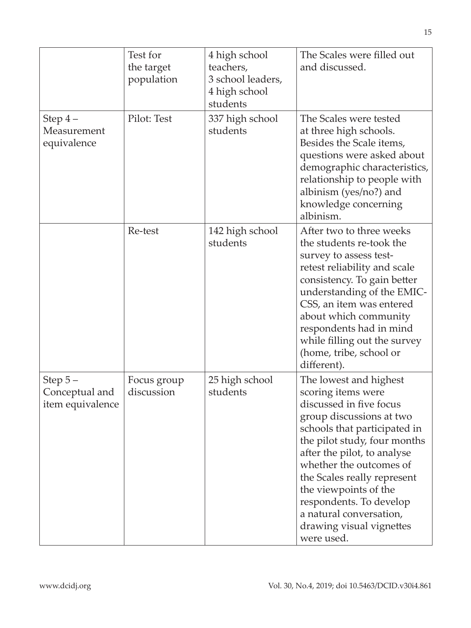|                                                 | Test for<br>the target<br>population | 4 high school<br>teachers,<br>3 school leaders,<br>4 high school<br>students | The Scales were filled out<br>and discussed.                                                                                                                                                                                                                                                                                                                                          |
|-------------------------------------------------|--------------------------------------|------------------------------------------------------------------------------|---------------------------------------------------------------------------------------------------------------------------------------------------------------------------------------------------------------------------------------------------------------------------------------------------------------------------------------------------------------------------------------|
| Step 4-<br>Measurement<br>equivalence           | Pilot: Test                          | 337 high school<br>students                                                  | The Scales were tested<br>at three high schools.<br>Besides the Scale items,<br>questions were asked about<br>demographic characteristics,<br>relationship to people with<br>albinism (yes/no?) and<br>knowledge concerning<br>albinism.                                                                                                                                              |
|                                                 | Re-test                              | 142 high school<br>students                                                  | After two to three weeks<br>the students re-took the<br>survey to assess test-<br>retest reliability and scale<br>consistency. To gain better<br>understanding of the EMIC-<br>CSS, an item was entered<br>about which community<br>respondents had in mind<br>while filling out the survey<br>(home, tribe, school or<br>different).                                                 |
| Step $5-$<br>Conceptual and<br>item equivalence | Focus group<br>discussion            | 25 high school<br>students                                                   | The lowest and highest<br>scoring items were<br>discussed in five focus<br>group discussions at two<br>schools that participated in<br>the pilot study, four months<br>after the pilot, to analyse<br>whether the outcomes of<br>the Scales really represent<br>the viewpoints of the<br>respondents. To develop<br>a natural conversation,<br>drawing visual vignettes<br>were used. |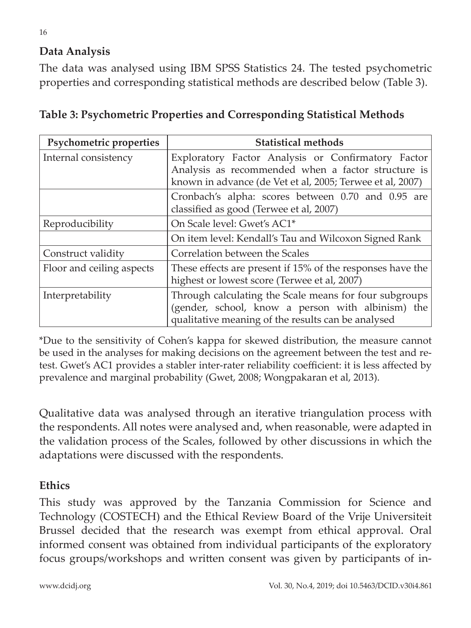### **Data Analysis**

The data was analysed using IBM SPSS Statistics 24. The tested psychometric properties and corresponding statistical methods are described below (Table 3).

| Psychometric properties   | <b>Statistical methods</b>                                 |
|---------------------------|------------------------------------------------------------|
| Internal consistency      | Exploratory Factor Analysis or Confirmatory Factor         |
|                           | Analysis as recommended when a factor structure is         |
|                           | known in advance (de Vet et al, 2005; Terwee et al, 2007)  |
|                           | Cronbach's alpha: scores between 0.70 and 0.95 are         |
|                           | classified as good (Terwee et al, 2007)                    |
| Reproducibility           | On Scale level: Gwet's AC1*                                |
|                           | On item level: Kendall's Tau and Wilcoxon Signed Rank      |
| Construct validity        | Correlation between the Scales                             |
| Floor and ceiling aspects | These effects are present if 15% of the responses have the |
|                           | highest or lowest score (Terwee et al, 2007)               |
| Interpretability          | Through calculating the Scale means for four subgroups     |
|                           | (gender, school, know a person with albinism) the          |
|                           | qualitative meaning of the results can be analysed         |

**Table 3: Psychometric Properties and Corresponding Statistical Methods**

\*Due to the sensitivity of Cohen's kappa for skewed distribution, the measure cannot be used in the analyses for making decisions on the agreement between the test and retest. Gwet's AC1 provides a stabler inter-rater reliability coefficient: it is less affected by prevalence and marginal probability (Gwet, 2008; Wongpakaran et al, 2013).

Qualitative data was analysed through an iterative triangulation process with the respondents. All notes were analysed and, when reasonable, were adapted in the validation process of the Scales, followed by other discussions in which the adaptations were discussed with the respondents.

### **Ethics**

This study was approved by the Tanzania Commission for Science and Technology (COSTECH) and the Ethical Review Board of the Vrije Universiteit Brussel decided that the research was exempt from ethical approval. Oral informed consent was obtained from individual participants of the exploratory focus groups/workshops and written consent was given by participants of in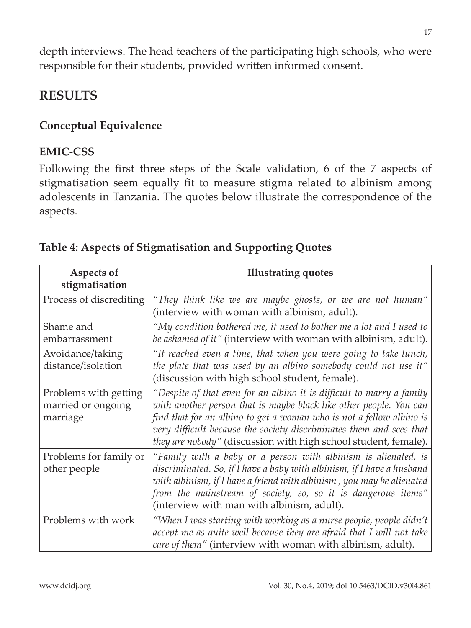depth interviews. The head teachers of the participating high schools, who were responsible for their students, provided written informed consent.

## **RESULTS**

### **Conceptual Equivalence**

#### **EMIC-CSS**

Following the first three steps of the Scale validation, 6 of the 7 aspects of stigmatisation seem equally fit to measure stigma related to albinism among adolescents in Tanzania. The quotes below illustrate the correspondence of the aspects.

| Aspects of                                              | <b>Illustrating quotes</b>                                                                                                                                                                                                                                                                                                                                    |
|---------------------------------------------------------|---------------------------------------------------------------------------------------------------------------------------------------------------------------------------------------------------------------------------------------------------------------------------------------------------------------------------------------------------------------|
| stigmatisation                                          |                                                                                                                                                                                                                                                                                                                                                               |
| Process of discrediting                                 | "They think like we are maybe ghosts, or we are not human"<br>(interview with woman with albinism, adult).                                                                                                                                                                                                                                                    |
| Shame and<br>embarrassment                              | "My condition bothered me, it used to bother me a lot and I used to<br>be ashamed of it" (interview with woman with albinism, adult).                                                                                                                                                                                                                         |
| Avoidance/taking<br>distance/isolation                  | "It reached even a time, that when you were going to take lunch,<br>the plate that was used by an albino somebody could not use it"<br>(discussion with high school student, female).                                                                                                                                                                         |
| Problems with getting<br>married or ongoing<br>marriage | "Despite of that even for an albino it is difficult to marry a family<br>with another person that is maybe black like other people. You can<br>find that for an albino to get a woman who is not a fellow albino is<br>very difficult because the society discriminates them and sees that<br>they are nobody" (discussion with high school student, female). |
| Problems for family or<br>other people                  | "Family with a baby or a person with albinism is alienated, is<br>discriminated. So, if I have a baby with albinism, if I have a husband<br>with albinism, if I have a friend with albinism , you may be alienated<br>from the mainstream of society, so, so it is dangerous items"<br>(interview with man with albinism, adult).                             |
| Problems with work                                      | "When I was starting with working as a nurse people, people didn't<br>accept me as quite well because they are afraid that I will not take<br>care of them" (interview with woman with albinism, adult).                                                                                                                                                      |

### **Table 4: Aspects of Stigmatisation and Supporting Quotes**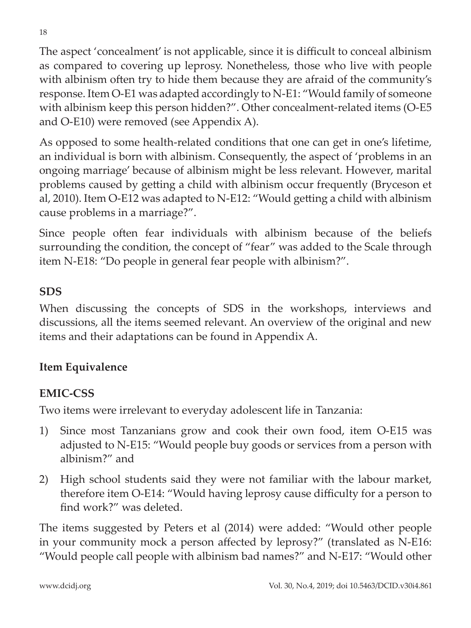The aspect 'concealment' is not applicable, since it is difficult to conceal albinism as compared to covering up leprosy. Nonetheless, those who live with people with albinism often try to hide them because they are afraid of the community's response. Item O-E1 was adapted accordingly to N-E1: "Would family of someone with albinism keep this person hidden?". Other concealment-related items (O-E5 and O-E10) were removed (see Appendix A).

As opposed to some health-related conditions that one can get in one's lifetime, an individual is born with albinism. Consequently, the aspect of 'problems in an ongoing marriage' because of albinism might be less relevant. However, marital problems caused by getting a child with albinism occur frequently (Bryceson et al, 2010). Item O-E12 was adapted to N-E12: "Would getting a child with albinism cause problems in a marriage?".

Since people often fear individuals with albinism because of the beliefs surrounding the condition, the concept of "fear" was added to the Scale through item N-E18: "Do people in general fear people with albinism?".

### **SDS**

When discussing the concepts of SDS in the workshops, interviews and discussions, all the items seemed relevant. An overview of the original and new items and their adaptations can be found in Appendix A.

#### **Item Equivalence**

### **EMIC-CSS**

Two items were irrelevant to everyday adolescent life in Tanzania:

- 1) Since most Tanzanians grow and cook their own food, item O-E15 was adjusted to N-E15: "Would people buy goods or services from a person with albinism?" and
- 2) High school students said they were not familiar with the labour market, therefore item O-E14: "Would having leprosy cause difficulty for a person to find work?" was deleted.

The items suggested by Peters et al (2014) were added: "Would other people in your community mock a person affected by leprosy?" (translated as N-E16: "Would people call people with albinism bad names?" and N-E17: "Would other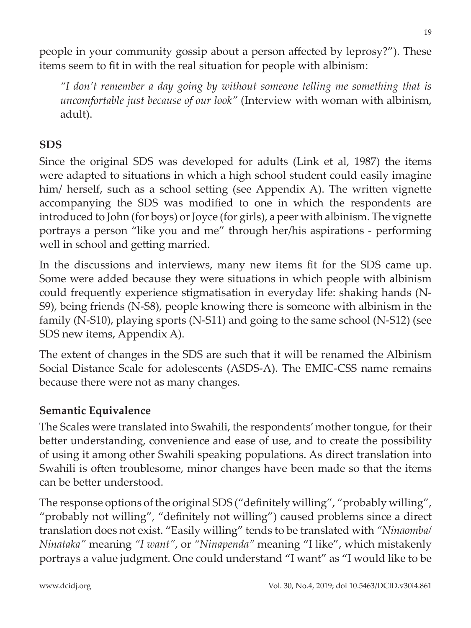people in your community gossip about a person affected by leprosy?"). These items seem to fit in with the real situation for people with albinism:

*"I don't remember a day going by without someone telling me something that is uncomfortable just because of our look"* (Interview with woman with albinism, adult).

## **SDS**

Since the original SDS was developed for adults (Link et al, 1987) the items were adapted to situations in which a high school student could easily imagine him/ herself, such as a school setting (see Appendix A). The written vignette accompanying the SDS was modified to one in which the respondents are introduced to John (for boys) or Joyce (for girls), a peer with albinism. The vignette portrays a person "like you and me" through her/his aspirations - performing well in school and getting married.

In the discussions and interviews, many new items fit for the SDS came up. Some were added because they were situations in which people with albinism could frequently experience stigmatisation in everyday life: shaking hands (N-S9), being friends (N-S8), people knowing there is someone with albinism in the family (N-S10), playing sports (N-S11) and going to the same school (N-S12) (see SDS new items, Appendix A).

The extent of changes in the SDS are such that it will be renamed the Albinism Social Distance Scale for adolescents (ASDS-A). The EMIC-CSS name remains because there were not as many changes.

#### **Semantic Equivalence**

The Scales were translated into Swahili, the respondents' mother tongue, for their better understanding, convenience and ease of use, and to create the possibility of using it among other Swahili speaking populations. As direct translation into Swahili is often troublesome, minor changes have been made so that the items can be better understood.

The response options of the original SDS ("definitely willing", "probably willing", "probably not willing", "definitely not willing") caused problems since a direct translation does not exist. "Easily willing" tends to be translated with *"Ninaomba/ Ninataka"* meaning *"I want"*, or *"Ninapenda"* meaning "I like", which mistakenly portrays a value judgment. One could understand "I want" as "I would like to be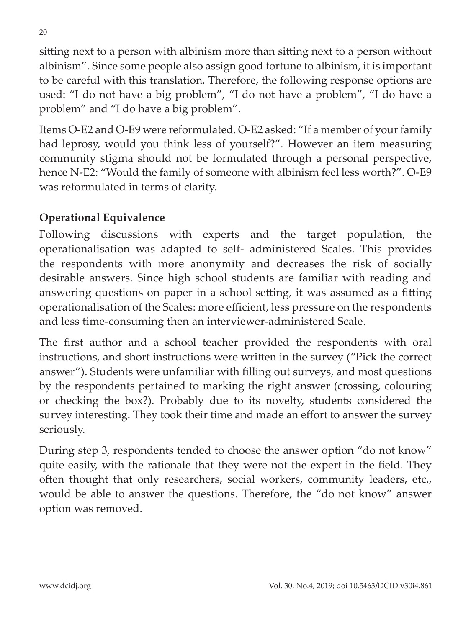sitting next to a person with albinism more than sitting next to a person without albinism". Since some people also assign good fortune to albinism, it is important to be careful with this translation. Therefore, the following response options are used: "I do not have a big problem", "I do not have a problem", "I do have a problem" and "I do have a big problem".

Items O-E2 and O-E9 were reformulated. O-E2 asked: "If a member of your family had leprosy, would you think less of yourself?". However an item measuring community stigma should not be formulated through a personal perspective, hence N-E2: "Would the family of someone with albinism feel less worth?". O-E9 was reformulated in terms of clarity.

## **Operational Equivalence**

Following discussions with experts and the target population, the operationalisation was adapted to self- administered Scales. This provides the respondents with more anonymity and decreases the risk of socially desirable answers. Since high school students are familiar with reading and answering questions on paper in a school setting, it was assumed as a fitting operationalisation of the Scales: more efficient, less pressure on the respondents and less time-consuming then an interviewer-administered Scale.

The first author and a school teacher provided the respondents with oral instructions, and short instructions were written in the survey ("Pick the correct answer"). Students were unfamiliar with filling out surveys, and most questions by the respondents pertained to marking the right answer (crossing, colouring or checking the box?). Probably due to its novelty, students considered the survey interesting. They took their time and made an effort to answer the survey seriously.

During step 3, respondents tended to choose the answer option "do not know" quite easily, with the rationale that they were not the expert in the field. They often thought that only researchers, social workers, community leaders, etc., would be able to answer the questions. Therefore, the "do not know" answer option was removed.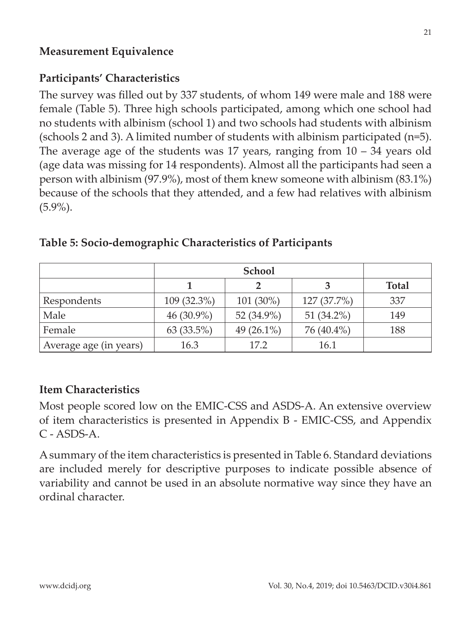### **Measurement Equivalence**

## **Participants' Characteristics**

The survey was filled out by 337 students, of whom 149 were male and 188 were female (Table 5). Three high schools participated, among which one school had no students with albinism (school 1) and two schools had students with albinism (schools 2 and 3). A limited number of students with albinism participated (n=5). The average age of the students was 17 years, ranging from  $10 - 34$  years old (age data was missing for 14 respondents). Almost all the participants had seen a person with albinism (97.9%), most of them knew someone with albinism (83.1%) because of the schools that they attended, and a few had relatives with albinism (5.9%).

|                        | <b>School</b> |               |             |              |
|------------------------|---------------|---------------|-------------|--------------|
|                        |               |               |             | <b>Total</b> |
| Respondents            | 109 (32.3%)   | 101 (30%)     | 127 (37.7%) | 337          |
| Male                   | 46 $(30.9\%)$ | 52 (34.9%)    | 51 (34.2%)  | 149          |
| Female                 | 63(33.5%)     | 49 $(26.1\%)$ | 76 (40.4%)  | 188          |
| Average age (in years) | 16.3          | 17.2          | 16.1        |              |

#### **Table 5: Socio-demographic Characteristics of Participants**

### **Item Characteristics**

Most people scored low on the EMIC-CSS and ASDS-A. An extensive overview of item characteristics is presented in Appendix B - EMIC-CSS, and Appendix  $C - ASDS-A$ 

A summary of the item characteristics is presented in Table 6. Standard deviations are included merely for descriptive purposes to indicate possible absence of variability and cannot be used in an absolute normative way since they have an ordinal character.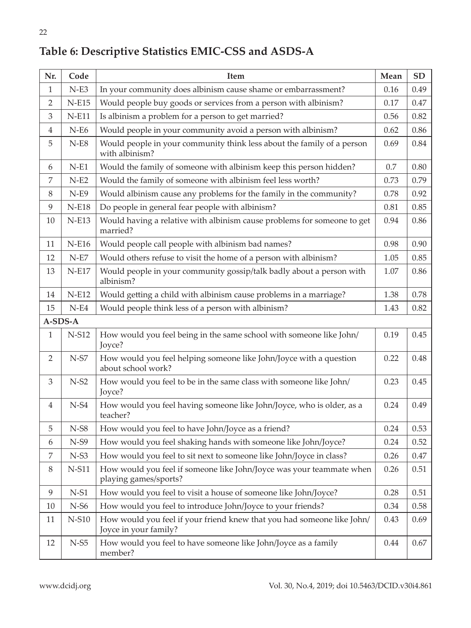| Nr.            | Code    | Item                                                                                            | Mean | <b>SD</b> |
|----------------|---------|-------------------------------------------------------------------------------------------------|------|-----------|
| 1              | $N-E3$  | In your community does albinism cause shame or embarrassment?                                   | 0.16 | 0.49      |
| $\overline{2}$ | $N-E15$ | Would people buy goods or services from a person with albinism?                                 |      | 0.47      |
| 3              | $N-E11$ | Is albinism a problem for a person to get married?                                              | 0.56 | 0.82      |
| $\overline{4}$ | $N-E6$  | Would people in your community avoid a person with albinism?                                    | 0.62 | 0.86      |
| 5              | $N-E8$  | Would people in your community think less about the family of a person<br>with albinism?        | 0.69 | 0.84      |
| 6              | $N-E1$  | Would the family of someone with albinism keep this person hidden?                              | 0.7  | 0.80      |
| 7              | $N-E2$  | Would the family of someone with albinism feel less worth?                                      | 0.73 | 0.79      |
| 8              | $N-E9$  | Would albinism cause any problems for the family in the community?                              | 0.78 | 0.92      |
| 9              | $N-E18$ | Do people in general fear people with albinism?                                                 | 0.81 | 0.85      |
| 10             | $N-E13$ | Would having a relative with albinism cause problems for someone to get<br>married?             | 0.94 | 0.86      |
| 11             | $N-E16$ | Would people call people with albinism bad names?                                               | 0.98 | 0.90      |
| 12             | $N-E7$  | Would others refuse to visit the home of a person with albinism?                                | 1.05 | 0.85      |
| 13             | $N-E17$ | Would people in your community gossip/talk badly about a person with<br>albinism?               | 1.07 | 0.86      |
| 14             | $N-E12$ | Would getting a child with albinism cause problems in a marriage?                               | 1.38 | 0.78      |
| 15             | $N-E4$  | Would people think less of a person with albinism?                                              | 1.43 | 0.82      |
|                | A-SDS-A |                                                                                                 |      |           |
| $\mathbf{1}$   | N-S12   | How would you feel being in the same school with someone like John/<br>Joyce?                   | 0.19 | 0.45      |
| $\overline{2}$ | $N-S7$  | How would you feel helping someone like John/Joyce with a question<br>about school work?        | 0.22 | 0.48      |
| 3              | $N-S2$  | How would you feel to be in the same class with someone like John/<br>Joyce?                    | 0.23 | 0.45      |
| 4              | $N-S4$  | How would you feel having someone like John/Joyce, who is older, as a<br>teacher?               | 0.24 | 0.49      |
| 5              | $N- S8$ | How would you feel to have John/Joyce as a friend?                                              | 0.24 | 0.53      |
| 6              | $N-S9$  | How would you feel shaking hands with someone like John/Joyce?                                  | 0.24 | 0.52      |
| 7              | $N-S3$  | How would you feel to sit next to someone like John/Joyce in class?                             | 0.26 | 0.47      |
| 8              | N-S11   | How would you feel if someone like John/Joyce was your teammate when<br>playing games/sports?   | 0.26 | 0.51      |
| 9              | $N-S1$  | How would you feel to visit a house of someone like John/Joyce?                                 | 0.28 | 0.51      |
| 10             | $N-56$  | How would you feel to introduce John/Joyce to your friends?                                     | 0.34 | 0.58      |
| 11             | N-S10   | How would you feel if your friend knew that you had someone like John/<br>Joyce in your family? | 0.43 | 0.69      |
| 12             | $N-55$  | How would you feel to have someone like John/Joyce as a family<br>member?                       | 0.44 | 0.67      |

## **Table 6: Descriptive Statistics EMIC-CSS and ASDS-A**

22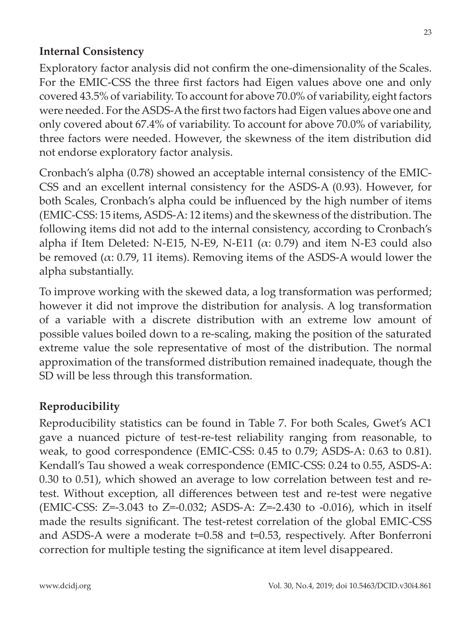### **Internal Consistency**

Exploratory factor analysis did not confirm the one-dimensionality of the Scales. For the EMIC-CSS the three first factors had Eigen values above one and only covered 43.5% of variability. To account for above 70.0% of variability, eight factors were needed. For the ASDS-A the first two factors had Eigen values above one and only covered about 67.4% of variability. To account for above 70.0% of variability, three factors were needed. However, the skewness of the item distribution did not endorse exploratory factor analysis.

Cronbach's alpha (0.78) showed an acceptable internal consistency of the EMIC-CSS and an excellent internal consistency for the ASDS-A (0.93). However, for both Scales, Cronbach's alpha could be influenced by the high number of items (EMIC-CSS: 15 items, ASDS-A: 12 items) and the skewness of the distribution. The following items did not add to the internal consistency, according to Cronbach's alpha if Item Deleted: N-E15, N-E9, N-E11 ( $\alpha$ : 0.79) and item N-E3 could also be removed ( $\alpha$ : 0.79, 11 items). Removing items of the ASDS-A would lower the alpha substantially.

To improve working with the skewed data, a log transformation was performed; however it did not improve the distribution for analysis. A log transformation of a variable with a discrete distribution with an extreme low amount of possible values boiled down to a re-scaling, making the position of the saturated extreme value the sole representative of most of the distribution. The normal approximation of the transformed distribution remained inadequate, though the SD will be less through this transformation.

#### **Reproducibility**

Reproducibility statistics can be found in Table 7. For both Scales, Gwet's AC1 gave a nuanced picture of test-re-test reliability ranging from reasonable, to weak, to good correspondence (EMIC-CSS: 0.45 to 0.79; ASDS-A: 0.63 to 0.81). Kendall's Tau showed a weak correspondence (EMIC-CSS: 0.24 to 0.55, ASDS-A: 0.30 to 0.51), which showed an average to low correlation between test and retest. Without exception, all differences between test and re-test were negative (EMIC-CSS: Z=-3.043 to Z=-0.032; ASDS-A: Z=-2.430 to -0.016), which in itself made the results significant. The test-retest correlation of the global EMIC-CSS and ASDS-A were a moderate  $t=0.58$  and  $t=0.53$ , respectively. After Bonferroni correction for multiple testing the significance at item level disappeared.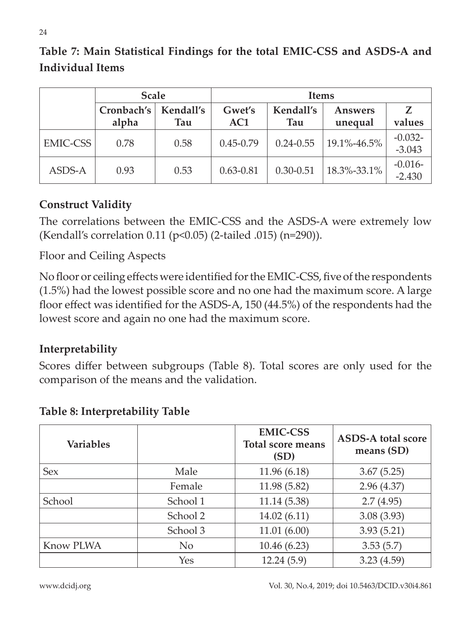### **Table 7: Main Statistical Findings for the total EMIC-CSS and ASDS-A and Individual Items**

|                 | <b>Scale</b>        |                  | <b>Items</b>  |                  |                           |                        |
|-----------------|---------------------|------------------|---------------|------------------|---------------------------|------------------------|
|                 | Cronbach's<br>alpha | Kendall's<br>Tau | Gwet's<br>AC1 | Kendall's<br>Tau | <b>Answers</b><br>unequal | $\mathbf{Z}$<br>values |
| <b>EMIC-CSS</b> | 0.78                | 0.58             | $0.45 - 0.79$ | $0.24 - 0.55$    | 19.1%-46.5%               | $-0.032-$<br>$-3.043$  |
| ASDS-A          | 0.93                | 0.53             | $0.63 - 0.81$ | $0.30 - 0.51$    | 18.3%-33.1%               | $-0.016-$<br>$-2.430$  |

### **Construct Validity**

The correlations between the EMIC-CSS and the ASDS-A were extremely low (Kendall's correlation 0.11 (p<0.05) (2-tailed .015) (n=290)).

Floor and Ceiling Aspects

No floor or ceiling effects were identified for the EMIC-CSS, five of the respondents (1.5%) had the lowest possible score and no one had the maximum score. A large floor effect was identified for the ASDS-A, 150 (44.5%) of the respondents had the lowest score and again no one had the maximum score.

#### **Interpretability**

Scores differ between subgroups (Table 8). Total scores are only used for the comparison of the means and the validation.

| <b>Variables</b> |          | <b>EMIC-CSS</b><br><b>Total score means</b><br>(SD) | <b>ASDS-A total score</b><br>means (SD) |
|------------------|----------|-----------------------------------------------------|-----------------------------------------|
| <b>Sex</b>       | Male     | 11.96 (6.18)                                        | 3.67(5.25)                              |
|                  | Female   | 11.98 (5.82)                                        | 2.96(4.37)                              |
| School           | School 1 | 11.14 (5.38)                                        | 2.7(4.95)                               |
|                  | School 2 | 14.02(6.11)                                         | 3.08(3.93)                              |
|                  | School 3 | 11.01(6.00)                                         | 3.93(5.21)                              |
| Know PLWA        | No       | 10.46 (6.23)                                        | 3.53(5.7)                               |
|                  | Yes      | 12.24(5.9)                                          | 3.23(4.59)                              |

#### **Table 8: Interpretability Table**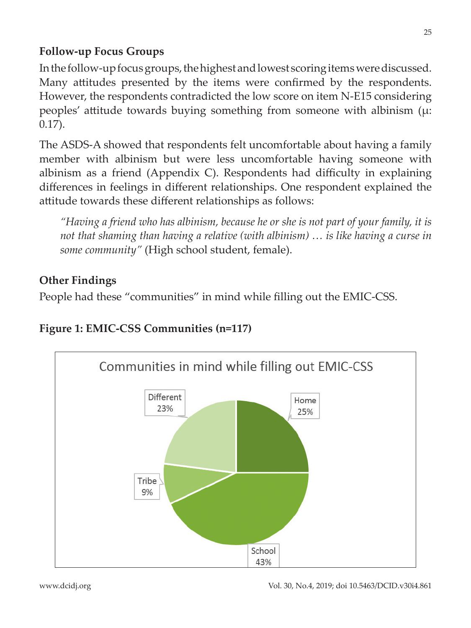### **Follow-up Focus Groups**

In the follow-up focus groups, the highest and lowest scoring items were discussed. Many attitudes presented by the items were confirmed by the respondents. However, the respondents contradicted the low score on item N-E15 considering peoples' attitude towards buying something from someone with albinism  $(\mu$ : 0.17).

The ASDS-A showed that respondents felt uncomfortable about having a family member with albinism but were less uncomfortable having someone with albinism as a friend (Appendix C). Respondents had difficulty in explaining differences in feelings in different relationships. One respondent explained the attitude towards these different relationships as follows:

*"Having a friend who has albinism, because he or she is not part of your family, it is not that shaming than having a relative (with albinism) … is like having a curse in some community"* (High school student, female).

## **Other Findings**

People had these "communities" in mind while filling out the EMIC-CSS.

### **Figure 1: EMIC-CSS Communities (n=117)**

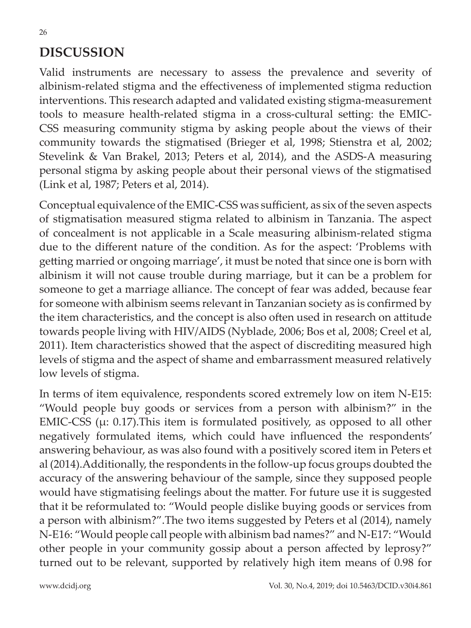## **DISCUSSION**

Valid instruments are necessary to assess the prevalence and severity of albinism-related stigma and the effectiveness of implemented stigma reduction interventions. This research adapted and validated existing stigma-measurement tools to measure health-related stigma in a cross-cultural setting: the EMIC-CSS measuring community stigma by asking people about the views of their community towards the stigmatised (Brieger et al, 1998; Stienstra et al, 2002; Stevelink & Van Brakel, 2013; Peters et al, 2014), and the ASDS-A measuring personal stigma by asking people about their personal views of the stigmatised (Link et al, 1987; Peters et al, 2014).

Conceptual equivalence of the EMIC-CSS was sufficient, as six of the seven aspects of stigmatisation measured stigma related to albinism in Tanzania. The aspect of concealment is not applicable in a Scale measuring albinism-related stigma due to the different nature of the condition. As for the aspect: 'Problems with getting married or ongoing marriage', it must be noted that since one is born with albinism it will not cause trouble during marriage, but it can be a problem for someone to get a marriage alliance. The concept of fear was added, because fear for someone with albinism seems relevant in Tanzanian society as is confirmed by the item characteristics, and the concept is also often used in research on attitude towards people living with HIV/AIDS (Nyblade, 2006; Bos et al, 2008; Creel et al, 2011). Item characteristics showed that the aspect of discrediting measured high levels of stigma and the aspect of shame and embarrassment measured relatively low levels of stigma.

In terms of item equivalence, respondents scored extremely low on item N-E15: "Would people buy goods or services from a person with albinism?" in the EMIC-CSS ( $\mu$ : 0.17). This item is formulated positively, as opposed to all other negatively formulated items, which could have influenced the respondents' answering behaviour, as was also found with a positively scored item in Peters et al (2014).Additionally, the respondents in the follow-up focus groups doubted the accuracy of the answering behaviour of the sample, since they supposed people would have stigmatising feelings about the matter. For future use it is suggested that it be reformulated to: "Would people dislike buying goods or services from a person with albinism?".The two items suggested by Peters et al (2014), namely N-E16: "Would people call people with albinism bad names?" and N-E17: "Would other people in your community gossip about a person affected by leprosy?" turned out to be relevant, supported by relatively high item means of 0.98 for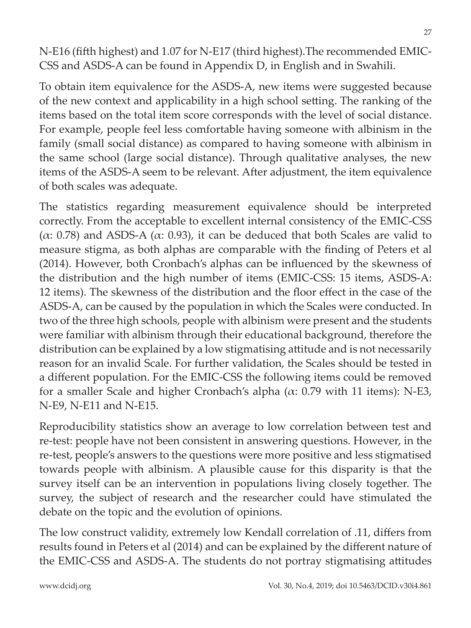N-E16 (fifth highest) and 1.07 for N-E17 (third highest). The recommended EMIC-CSS and ASDS-A can be found in Appendix D, in English and in Swahili.

To obtain item equivalence for the ASDS-A, new items were suggested because of the new context and applicability in a high school setting. The ranking of the items based on the total item score corresponds with the level of social distance. For example, people feel less comfortable having someone with albinism in the family (small social distance) as compared to having someone with albinism in the same school (large social distance). Through qualitative analyses, the new items of the ASDS-A seem to be relevant. After adjustment, the item equivalence of both scales was adequate.

The statistics regarding measurement equivalence should be interpreted correctly. From the acceptable to excellent internal consistency of the EMIC-CSS (α: 0.78) and ASDS-A (α: 0.93), it can be deduced that both Scales are valid to measure stigma, as both alphas are comparable with the finding of Peters et al (2014). However, both Cronbach's alphas can be influenced by the skewness of the distribution and the high number of items (EMIC-CSS: 15 items, ASDS-A: 12 items). The skewness of the distribution and the floor effect in the case of the ASDS-A, can be caused by the population in which the Scales were conducted. In two of the three high schools, people with albinism were present and the students were familiar with albinism through their educational background, therefore the distribution can be explained by a low stigmatising attitude and is not necessarily reason for an invalid Scale. For further validation, the Scales should be tested in a different population. For the EMIC-CSS the following items could be removed for a smaller Scale and higher Cronbach's alpha (α: 0.79 with 11 items): N-E3, N-E9, N-E11 and N-E15.

Reproducibility statistics show an average to low correlation between test and re-test: people have not been consistent in answering questions. However, in the re-test, people's answers to the questions were more positive and less stigmatised towards people with albinism. A plausible cause for this disparity is that the survey itself can be an intervention in populations living closely together. The survey, the subject of research and the researcher could have stimulated the debate on the topic and the evolution of opinions.

The low construct validity, extremely low Kendall correlation of .11, differs from results found in Peters et al (2014) and can be explained by the different nature of the EMIC-CSS and ASDS-A. The students do not portray stigmatising attitudes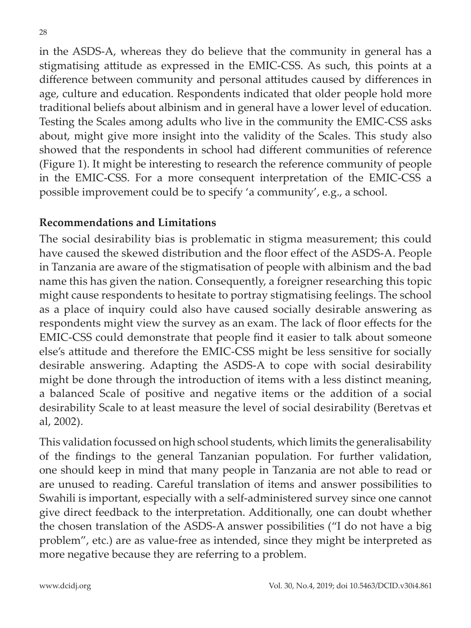in the ASDS-A, whereas they do believe that the community in general has a stigmatising attitude as expressed in the EMIC-CSS. As such, this points at a difference between community and personal attitudes caused by differences in age, culture and education. Respondents indicated that older people hold more traditional beliefs about albinism and in general have a lower level of education. Testing the Scales among adults who live in the community the EMIC-CSS asks about, might give more insight into the validity of the Scales. This study also showed that the respondents in school had different communities of reference (Figure 1). It might be interesting to research the reference community of people in the EMIC-CSS. For a more consequent interpretation of the EMIC-CSS a possible improvement could be to specify 'a community', e.g., a school.

#### **Recommendations and Limitations**

The social desirability bias is problematic in stigma measurement; this could have caused the skewed distribution and the floor effect of the ASDS-A. People in Tanzania are aware of the stigmatisation of people with albinism and the bad name this has given the nation. Consequently, a foreigner researching this topic might cause respondents to hesitate to portray stigmatising feelings. The school as a place of inquiry could also have caused socially desirable answering as respondents might view the survey as an exam. The lack of floor effects for the EMIC-CSS could demonstrate that people find it easier to talk about someone else's attitude and therefore the EMIC-CSS might be less sensitive for socially desirable answering. Adapting the ASDS-A to cope with social desirability might be done through the introduction of items with a less distinct meaning, a balanced Scale of positive and negative items or the addition of a social desirability Scale to at least measure the level of social desirability (Beretvas et al, 2002).

This validation focussed on high school students, which limits the generalisability of the findings to the general Tanzanian population. For further validation, one should keep in mind that many people in Tanzania are not able to read or are unused to reading. Careful translation of items and answer possibilities to Swahili is important, especially with a self-administered survey since one cannot give direct feedback to the interpretation. Additionally, one can doubt whether the chosen translation of the ASDS-A answer possibilities ("I do not have a big problem", etc.) are as value-free as intended, since they might be interpreted as more negative because they are referring to a problem.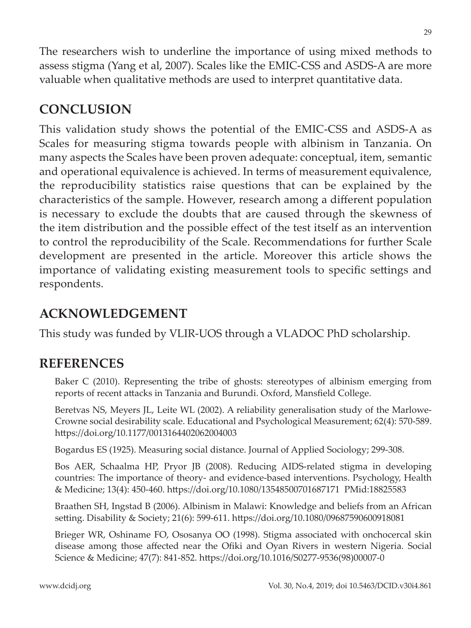The researchers wish to underline the importance of using mixed methods to assess stigma (Yang et al, 2007). Scales like the EMIC-CSS and ASDS-A are more valuable when qualitative methods are used to interpret quantitative data.

## **CONCLUSION**

This validation study shows the potential of the EMIC-CSS and ASDS-A as Scales for measuring stigma towards people with albinism in Tanzania. On many aspects the Scales have been proven adequate: conceptual, item, semantic and operational equivalence is achieved. In terms of measurement equivalence, the reproducibility statistics raise questions that can be explained by the characteristics of the sample. However, research among a different population is necessary to exclude the doubts that are caused through the skewness of the item distribution and the possible effect of the test itself as an intervention to control the reproducibility of the Scale. Recommendations for further Scale development are presented in the article. Moreover this article shows the importance of validating existing measurement tools to specific settings and respondents.

## **ACKNOWLEDGEMENT**

This study was funded by VLIR-UOS through a VLADOC PhD scholarship.

## **REFERENCES**

Baker C (2010). Representing the tribe of ghosts: stereotypes of albinism emerging from reports of recent attacks in Tanzania and Burundi. Oxford, Mansfield College.

Beretvas NS, Meyers JL, Leite WL (2002). A reliability generalisation study of the Marlowe-Crowne social desirability scale. Educational and Psychological Measurement; 62(4): 570-589. https://doi.org/10.1177/0013164402062004003

Bogardus ES (1925). Measuring social distance. Journal of Applied Sociology; 299-308.

Bos AER, Schaalma HP, Pryor JB (2008). Reducing AIDS-related stigma in developing countries: The importance of theory- and evidence-based interventions. Psychology, Health & Medicine; 13(4): 450-460. htt ps://doi.org/10.1080/13548500701687171 PMid:18825583

Braathen SH, Ingstad B (2006). Albinism in Malawi: Knowledge and beliefs from an African setting. Disability & Society; 21(6): 599-611. https://doi.org/10.1080/09687590600918081

Brieger WR, Oshiname FO, Ososanya OO (1998). Stigma associated with onchocercal skin disease among those affected near the Ofiki and Oyan Rivers in western Nigeria. Social Science & Medicine; 47(7): 841-852. https://doi.org/10.1016/S0277-9536(98)00007-0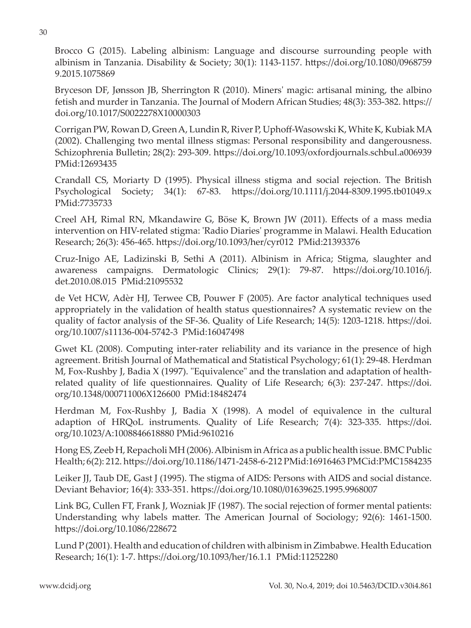Brocco G (2015). Labeling albinism: Language and discourse surrounding people with albinism in Tanzania. Disability & Society; 30(1): 1143-1157. https://doi.org/10.1080/0968759 9.2015.1075869

Bryceson DF, Jønsson JB, Sherrington R (2010). Miners' magic: artisanal mining, the albino fetish and murder in Tanzania. The Journal of Modern African Studies; 48(3): 353-382. https:// doi.org/10.1017/S0022278X10000303

Corrigan PW, Rowan D, Green A, Lundin R, River P, Uphoff -Wasowski K, White K, Kubiak MA (2002). Challenging two mental illness stigmas: Personal responsibility and dangerousness. Schizophrenia Bulletin; 28(2): 293-309. https://doi.org/10.1093/oxfordjournals.schbul.a006939 PMid:12693435

Crandall CS, Moriarty D (1995). Physical illness stigma and social rejection. The British Psychological Society; 34(1): 67-83. https://doi.org/10.1111/j.2044-8309.1995.tb01049.x PMid:7735733

Creel AH, Rimal RN, Mkandawire G, Böse K, Brown JW (2011). Effects of a mass media intervention on HIV-related stigma: 'Radio Diaries' programme in Malawi. Health Education Research; 26(3): 456-465. https://doi.org/10.1093/her/cyr012 PMid:21393376

Cruz-Inigo AE, Ladizinski B, Sethi A (2011). Albinism in Africa; Stigma, slaughter and awareness campaigns. Dermatologic Clinics; 29(1): 79-87. https://doi.org/10.1016/j. det.2010.08.015 PMid:21095532

de Vet HCW, Adèr HJ, Terwee CB, Pouwer F (2005). Are factor analytical techniques used appropriately in the validation of health status questionnaires? A systematic review on the quality of factor analysis of the SF-36. Quality of Life Research; 14(5): 1203-1218. https://doi. org/10.1007/s11136-004-5742-3 PMid:16047498

Gwet KL (2008). Computing inter-rater reliability and its variance in the presence of high agreement. British Journal of Mathematical and Statistical Psychology; 61(1): 29-48. Herdman M, Fox-Rushby J, Badia X (1997). "Equivalence" and the translation and adaptation of healthrelated quality of life questionnaires. Quality of Life Research; 6(3): 237-247. https://doi. org/10.1348/000711006X126600 PMid:18482474

Herdman M, Fox-Rushby J, Badia  $X$  (1998). A model of equivalence in the cultural adaption of HRQoL instruments. Quality of Life Research; 7(4): 323-335. https://doi. org/10.1023/A:1008846618880 PMid:9610216

Hong ES, Zeeb H, Repacholi MH (2006). Albinism in Africa as a public health issue. BMC Public Health; 6(2): 212. htt ps://doi.org/10.1186/1471-2458-6-212 PMid:16916463 PMCid:PMC1584235

Leiker JJ, Taub DE, Gast J (1995). The stigma of AIDS: Persons with AIDS and social distance. Deviant Behavior; 16(4): 333-351. https://doi.org/10.1080/01639625.1995.9968007

Link BG, Cullen FT, Frank J, Wozniak JF (1987). The social rejection of former mental patients: Understanding why labels matter. The American Journal of Sociology;  $92(6)$ : 1461-1500. https://doi.org/10.1086/228672

Lund P (2001). Health and education of children with albinism in Zimbabwe. Health Education Research; 16(1): 1-7. https://doi.org/10.1093/her/16.1.1 PMid:11252280

30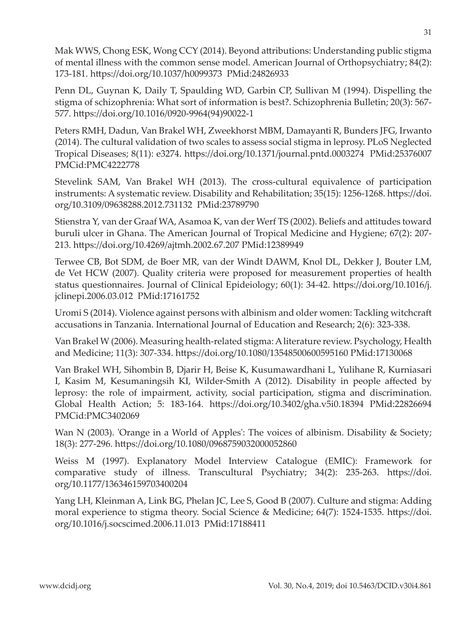Mak WWS, Chong ESK, Wong CCY (2014). Beyond attributions: Understanding public stigma of mental illness with the common sense model. American Journal of Orthopsychiatry; 84(2): 173-181. https://doi.org/10.1037/h0099373 PMid:24826933

Penn DL, Guynan K, Daily T, Spaulding WD, Garbin CP, Sullivan M (1994). Dispelling the stigma of schizophrenia: What sort of information is best?. Schizophrenia Bulletin; 20(3): 567- 577. https://doi.org/10.1016/0920-9964(94)90022-1

Peters RMH, Dadun, Van Brakel WH, Zweekhorst MBM, Damayanti R, Bunders JFG, Irwanto (2014). The cultural validation of two scales to assess social stigma in leprosy. PLoS Neglected Tropical Diseases; 8(11): e3274. htt ps://doi.org/10.1371/journal.pntd.0003274 PMid:25376007 PMCid:PMC4222778

Stevelink SAM, Van Brakel WH (2013). The cross-cultural equivalence of participation instruments: A systematic review. Disability and Rehabilitation; 35(15): 1256-1268. https://doi. org/10.3109/09638288.2012.731132 PMid:23789790

Stienstra Y, van der Graaf WA, Asamoa K, van der Werf TS (2002). Beliefs and attitudes toward buruli ulcer in Ghana. The American Journal of Tropical Medicine and Hygiene; 67(2): 207- 213. https://doi.org/10.4269/ajtmh.2002.67.207 PMid:12389949

Terwee CB, Bot SDM, de Boer MR, van der Windt DAWM, Knol DL, Dekker J, Bouter LM, de Vet HCW (2007). Quality criteria were proposed for measurement properties of health status questionnaires. Journal of Clinical Epideiology; 60(1): 34-42. https://doi.org/10.1016/j. jclinepi.2006.03.012 PMid:17161752

Uromi S (2014). Violence against persons with albinism and older women: Tackling witchcraft accusations in Tanzania. International Journal of Education and Research; 2(6): 323-338.

Van Brakel W (2006). Measuring health-related stigma: A literature review. Psychology, Health and Medicine; 11(3): 307-334. https://doi.org/10.1080/13548500600595160 PMid:17130068

Van Brakel WH, Sihombin B, Djarir H, Beise K, Kusumawardhani L, Yulihane R, Kurniasari I, Kasim M, Kesumaningsih KI, Wilder-Smith A (2012). Disability in people affected by leprosy: the role of impairment, activity, social participation, stigma and discrimination. Global Health Action; 5: 183-164. https://doi.org/10.3402/gha.v5i0.18394 PMid:22826694 PMCid:PMC3402069

Wan N (2003). 'Orange in a World of Apples': The voices of albinism. Disability & Society; 18(3): 277-296. https://doi.org/10.1080/0968759032000052860

Weiss M (1997). Explanatory Model Interview Catalogue (EMIC): Framework for comparative study of illness. Transcultural Psychiatry; 34(2): 235-263. https://doi. org/10.1177/136346159703400204

Yang LH, Kleinman A, Link BG, Phelan JC, Lee S, Good B (2007). Culture and stigma: Adding moral experience to stigma theory. Social Science & Medicine; 64(7): 1524-1535. https://doi. org/10.1016/j.socscimed.2006.11.013 PMid:17188411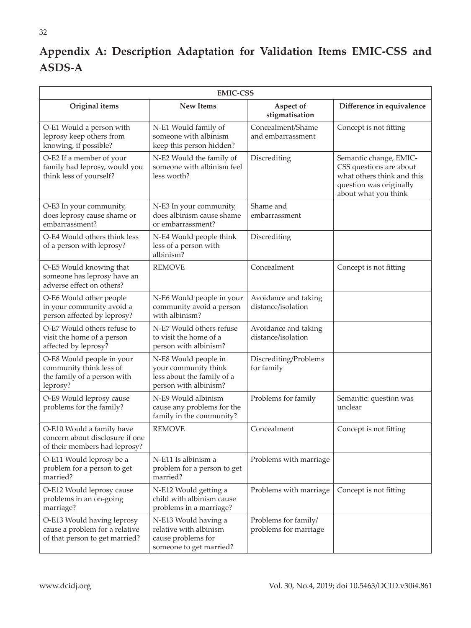## **Appendix A: Description Adaptation for Validation Items EMIC-CSS and ASDS-A**

| <b>EMIC-CSS</b>                                                                                 |                                                                                                     |                                               |                                                                                                                                    |
|-------------------------------------------------------------------------------------------------|-----------------------------------------------------------------------------------------------------|-----------------------------------------------|------------------------------------------------------------------------------------------------------------------------------------|
| Original items                                                                                  | <b>New Items</b>                                                                                    | Aspect of<br>stigmatisation                   | Difference in equivalence                                                                                                          |
| O-E1 Would a person with<br>leprosy keep others from<br>knowing, if possible?                   | N-E1 Would family of<br>someone with albinism<br>keep this person hidden?                           | Concealment/Shame<br>and embarrassment        | Concept is not fitting                                                                                                             |
| O-E2 If a member of your<br>family had leprosy, would you<br>think less of yourself?            | N-E2 Would the family of<br>someone with albinism feel<br>less worth?                               | Discrediting                                  | Semantic change, EMIC-<br>CSS questions are about<br>what others think and this<br>question was originally<br>about what you think |
| O-E3 In your community,<br>does leprosy cause shame or<br>embarrassment?                        | N-E3 In your community,<br>does albinism cause shame<br>or embarrassment?                           | Shame and<br>embarrassment                    |                                                                                                                                    |
| O-E4 Would others think less<br>of a person with leprosy?                                       | N-E4 Would people think<br>less of a person with<br>albinism?                                       | Discrediting                                  |                                                                                                                                    |
| O-E5 Would knowing that<br>someone has leprosy have an<br>adverse effect on others?             | <b>REMOVE</b>                                                                                       | Concealment                                   | Concept is not fitting                                                                                                             |
| O-E6 Would other people<br>in your community avoid a<br>person affected by leprosy?             | N-E6 Would people in your<br>community avoid a person<br>with albinism?                             | Avoidance and taking<br>distance/isolation    |                                                                                                                                    |
| O-E7 Would others refuse to<br>visit the home of a person<br>affected by leprosy?               | N-E7 Would others refuse<br>to visit the home of a<br>person with albinism?                         | Avoidance and taking<br>distance/isolation    |                                                                                                                                    |
| O-E8 Would people in your<br>community think less of<br>the family of a person with<br>leprosy? | N-E8 Would people in<br>your community think<br>less about the family of a<br>person with albinism? | Discrediting/Problems<br>for family           |                                                                                                                                    |
| O-E9 Would leprosy cause<br>problems for the family?                                            | N-E9 Would albinism<br>cause any problems for the<br>family in the community?                       | Problems for family                           | Semantic: question was<br>unclear                                                                                                  |
| O-E10 Would a family have<br>concern about disclosure if one<br>of their members had leprosy?   | <b>REMOVE</b>                                                                                       | Concealment                                   | Concept is not fitting                                                                                                             |
| O-E11 Would leprosy be a<br>problem for a person to get<br>married?                             | N-E11 Is albinism a<br>problem for a person to get<br>married?                                      | Problems with marriage                        |                                                                                                                                    |
| O-E12 Would leprosy cause<br>problems in an on-going<br>marriage?                               | N-E12 Would getting a<br>child with albinism cause<br>problems in a marriage?                       | Problems with marriage                        | Concept is not fitting                                                                                                             |
| O-E13 Would having leprosy<br>cause a problem for a relative<br>of that person to get married?  | N-E13 Would having a<br>relative with albinism<br>cause problems for<br>someone to get married?     | Problems for family/<br>problems for marriage |                                                                                                                                    |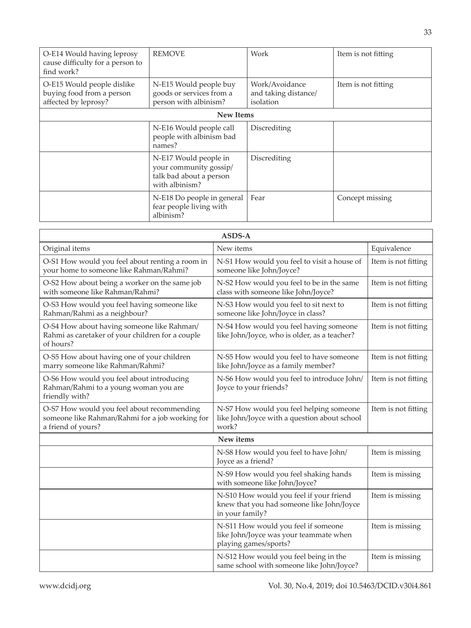| O-E14 Would having leprosy<br>cause difficulty for a person to<br>find work?    | <b>REMOVE</b>                                                                                | Work                                                | Item is not fitting |
|---------------------------------------------------------------------------------|----------------------------------------------------------------------------------------------|-----------------------------------------------------|---------------------|
| O-E15 Would people dislike<br>buying food from a person<br>affected by leprosy? | N-E15 Would people buy<br>goods or services from a<br>person with albinism?                  | Work/Avoidance<br>and taking distance/<br>isolation | Item is not fitting |
|                                                                                 | <b>New Items</b>                                                                             |                                                     |                     |
|                                                                                 | N-E16 Would people call<br>people with albinism bad<br>names?                                | Discrediting                                        |                     |
|                                                                                 | N-E17 Would people in<br>your community gossip/<br>talk bad about a person<br>with albinism? | Discrediting                                        |                     |
|                                                                                 | N-E18 Do people in general<br>fear people living with<br>albinism?                           | Fear                                                | Concept missing     |

| ASDS-A                                                                                                              |                                                                                                         |                     |  |
|---------------------------------------------------------------------------------------------------------------------|---------------------------------------------------------------------------------------------------------|---------------------|--|
| Original items                                                                                                      | New items                                                                                               | Equivalence         |  |
| O-S1 How would you feel about renting a room in<br>your home to someone like Rahman/Rahmi?                          | N-S1 How would you feel to visit a house of<br>someone like John/Joyce?                                 | Item is not fitting |  |
| O-S2 How about being a worker on the same job<br>with someone like Rahman/Rahmi?                                    | N-S2 How would you feel to be in the same<br>class with someone like John/Joyce?                        | Item is not fitting |  |
| O-S3 How would you feel having someone like<br>Rahman/Rahmi as a neighbour?                                         | N-S3 How would you feel to sit next to<br>someone like John/Joyce in class?                             | Item is not fitting |  |
| O-S4 How about having someone like Rahman/<br>Rahmi as caretaker of your children for a couple<br>of hours?         | N-S4 How would you feel having someone<br>like John/Joyce, who is older, as a teacher?                  | Item is not fitting |  |
| O-S5 How about having one of your children<br>marry someone like Rahman/Rahmi?                                      | N-S5 How would you feel to have someone<br>like John/Joyce as a family member?                          | Item is not fitting |  |
| O-S6 How would you feel about introducing<br>Rahman/Rahmi to a young woman you are<br>friendly with?                | N-S6 How would you feel to introduce John/<br>Joyce to your friends?                                    | Item is not fitting |  |
| O-S7 How would you feel about recommending<br>someone like Rahman/Rahmi for a job working for<br>a friend of yours? | N-S7 How would you feel helping someone<br>like John/Joyce with a question about school<br>work?        | Item is not fitting |  |
|                                                                                                                     | New items                                                                                               |                     |  |
|                                                                                                                     | N-S8 How would you feel to have John/<br>Joyce as a friend?                                             | Item is missing     |  |
|                                                                                                                     | N-S9 How would you feel shaking hands<br>with someone like John/Joyce?                                  | Item is missing     |  |
|                                                                                                                     | N-S10 How would you feel if your friend<br>knew that you had someone like John/Joyce<br>in your family? | Item is missing     |  |
|                                                                                                                     | N-S11 How would you feel if someone<br>like John/Joyce was your teammate when<br>playing games/sports?  | Item is missing     |  |
|                                                                                                                     | N-S12 How would you feel being in the<br>same school with someone like John/Joyce?                      | Item is missing     |  |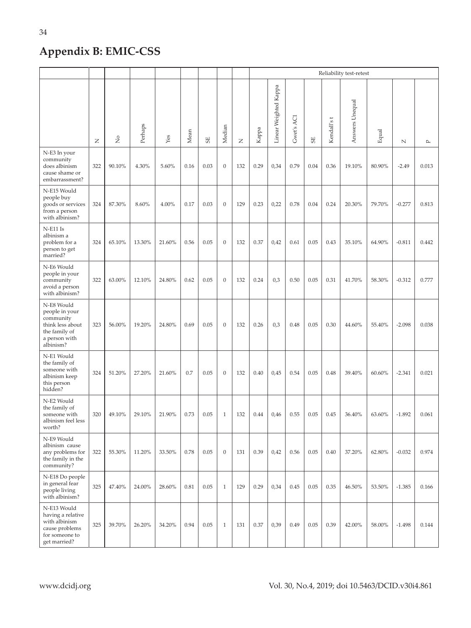## **Appendix B: EMIC-CSS**

|                                                                                                              |     |               |         |        |      |      |                  |              | Reliability test-retest |                       |            |                    |            |                 |        |            |              |
|--------------------------------------------------------------------------------------------------------------|-----|---------------|---------|--------|------|------|------------------|--------------|-------------------------|-----------------------|------------|--------------------|------------|-----------------|--------|------------|--------------|
|                                                                                                              | Z   | $\frac{1}{2}$ | Perhaps | Yes    | Mean | 55   | Median           | $\mathsf{z}$ | Kappa                   | Linear Weighted Kappa | Gwet's ACI | $\overline{\rm s}$ | Kendall'st | Answers Unequal | Equal  | $\hbox{N}$ | $\mathbf{p}$ |
| N-E3 In your<br>community<br>does albinism<br>cause shame or<br>embarrassment?                               | 322 | 90.10%        | 4.30%   | 5.60%  | 0.16 | 0.03 | $\mathbf{0}$     | 132          | 0.29                    | 0,34                  | 0.79       | 0.04               | 0.36       | 19.10%          | 80.90% | $-2.49$    | 0.013        |
| N-E15 Would<br>people buy<br>goods or services<br>from a person<br>with albinism?                            | 324 | 87.30%        | 8.60%   | 4.00%  | 0.17 | 0.03 | $\mathbf{0}$     | 129          | 0.23                    | 0,22                  | 0.78       | 0.04               | 0.24       | 20.30%          | 79.70% | $-0.277$   | 0.813        |
| $N$ -E11 Is<br>albinism a<br>problem for a<br>person to get<br>married?                                      | 324 | 65.10%        | 13.30%  | 21.60% | 0.56 | 0.05 | $\boldsymbol{0}$ | 132          | 0.37                    | 0,42                  | 0.61       | 0.05               | 0.43       | 35.10%          | 64.90% | $-0.811$   | 0.442        |
| N-E6 Would<br>people in your<br>community<br>avoid a person<br>with albinism?                                | 322 | 63.00%        | 12.10%  | 24.80% | 0.62 | 0.05 | $\boldsymbol{0}$ | 132          | 0.24                    | 0,3                   | 0.50       | 0.05               | 0.31       | 41.70%          | 58.30% | $-0.312$   | 0.777        |
| N-E8 Would<br>people in your<br>community<br>think less about<br>the family of<br>a person with<br>albinism? | 323 | 56.00%        | 19.20%  | 24.80% | 0.69 | 0.05 | $\boldsymbol{0}$ | 132          | 0.26                    | 0,3                   | 0.48       | 0.05               | 0.30       | 44.60%          | 55.40% | $-2.098$   | 0.038        |
| N-E1 Would<br>the family of<br>someone with<br>albinism keep<br>this person<br>hidden?                       | 324 | 51.20%        | 27.20%  | 21.60% | 0.7  | 0.05 | $\mathbf{0}$     | 132          | 0.40                    | 0,45                  | 0.54       | 0.05               | 0.48       | 39.40%          | 60.60% | $-2.341$   | 0.021        |
| N-E2 Would<br>the family of<br>someone with<br>albinism feel less<br>worth?                                  | 320 | 49.10%        | 29.10%  | 21.90% | 0.73 | 0.05 | $\,1\,$          | 132          | 0.44                    | 0,46                  | 0.55       | 0.05               | 0.45       | 36.40%          | 63.60% | $-1.892$   | 0.061        |
| N-E9 Would<br>albinism cause<br>any problems for<br>the family in the<br>community?                          | 322 | 55.30%        | 11.20%  | 33.50% | 0.78 | 0.05 | $\mathbf{0}$     | 131          | 0.39                    | 0,42                  | 0.56       | 0.05               | 0.40       | 37.20%          | 62.80% | $-0.032$   | 0.974        |
| N-E18 Do people<br>in general fear<br>people living<br>with albinism?                                        | 325 | 47.40%        | 24.00%  | 28.60% | 0.81 | 0.05 | $\,1\,$          | 129          | 0.29                    | 0,34                  | 0.45       | 0.05               | 0.35       | 46.50%          | 53.50% | $-1.385$   | 0.166        |
| N-E13 Would<br>having a relative<br>with albinism<br>cause problems<br>for someone to<br>get married?        | 325 | 39.70%        | 26.20%  | 34.20% | 0.94 | 0.05 | $\mathbf{1}$     | 131          | 0.37                    | 0,39                  | 0.49       | 0.05               | 0.39       | 42.00%          | 58.00% | $-1.498$   | 0.144        |

34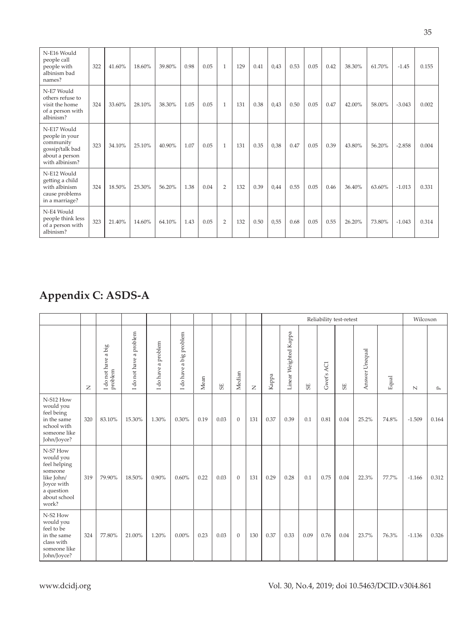| N-E16 Would<br>people call<br>people with<br>albinism bad<br>names?                               | 322 | 41.60% | 18.60% | 39.80% | 0.98 | 0.05 | $\overline{1}$ | 129 | 0.41 | 0,43 | 0.53 | 0.05 | 0.42 | 38.30% | 61.70% | $-1.45$  | 0.155 |
|---------------------------------------------------------------------------------------------------|-----|--------|--------|--------|------|------|----------------|-----|------|------|------|------|------|--------|--------|----------|-------|
| N-E7 Would<br>others refuse to<br>visit the home<br>of a person with<br>albinism?                 | 324 | 33.60% | 28.10% | 38.30% | 1.05 | 0.05 | $\overline{1}$ | 131 | 0.38 | 0,43 | 0.50 | 0.05 | 0.47 | 42.00% | 58.00% | $-3.043$ | 0.002 |
| N-E17 Would<br>people in your<br>community<br>gossip/talk bad<br>about a person<br>with albinism? | 323 | 34.10% | 25.10% | 40.90% | 1.07 | 0.05 | $\overline{1}$ | 131 | 0.35 | 0,38 | 0.47 | 0.05 | 0.39 | 43.80% | 56.20% | $-2.858$ | 0.004 |
| N-E12 Would<br>getting a child<br>with albinism<br>cause problems<br>in a marriage?               | 324 | 18.50% | 25.30% | 56.20% | 1.38 | 0.04 | $\overline{2}$ | 132 | 0.39 | 0,44 | 0.55 | 0.05 | 0.46 | 36.40% | 63.60% | $-1.013$ | 0.331 |
| N-E4 Would<br>people think less<br>of a person with<br>albinism?                                  | 323 | 21.40% | 14.60% | 64.10% | 1.43 | 0.05 | $\overline{2}$ | 132 | 0.50 | 0,55 | 0.68 | 0.05 | 0.55 | 26.20% | 73.80% | $-1.043$ | 0.314 |

## **Appendix C: ASDS-A**

|                                                                                                                     |                |                                |                                           |                                    |                         |      |      |          |                |       |                       |      |            | Reliability test-retest |                |       | Wilcoxon     |           |
|---------------------------------------------------------------------------------------------------------------------|----------------|--------------------------------|-------------------------------------------|------------------------------------|-------------------------|------|------|----------|----------------|-------|-----------------------|------|------------|-------------------------|----------------|-------|--------------|-----------|
|                                                                                                                     | $\overline{z}$ | I do not have a big<br>problem | a problem<br>do not have<br>$\overline{}$ | do have a problem<br>$\overline{}$ | I do have a big problem | Mean | 55   | Median   | $\overline{z}$ | Kappa | Linear Weighted Kappa | 55   | Gwet's AC1 | 55                      | Answer Unequal | Equal | $\mathbb{N}$ | $\square$ |
| N-S12 How<br>would you<br>feel being<br>in the same<br>school with<br>someone like<br>John/Joyce?                   | 320            | 83.10%                         | 15.30%                                    | 1.30%                              | 0.30%                   | 0.19 | 0.03 | $\theta$ | 131            | 0.37  | 0.39                  | 0.1  | 0.81       | 0.04                    | 25.2%          | 74.8% | $-1.509$     | 0.164     |
| N-S7 How<br>would you<br>feel helping<br>someone<br>like John/<br>Joyce with<br>a question<br>about school<br>work? | 319            | 79.90%                         | 18.50%                                    | $0.90\%$                           | 0.60%                   | 0.22 | 0.03 | $\theta$ | 131            | 0.29  | 0.28                  | 0.1  | 0.75       | 0.04                    | 22.3%          | 77.7% | $-1.166$     | 0.312     |
| N-S2 How<br>would you<br>feel to be<br>in the same<br>class with<br>someone like<br>John/Joyce?                     | 324            | 77.80%                         | 21.00%                                    | 1.20%                              | $0.00\%$                | 0.23 | 0.03 | $\theta$ | 130            | 0.37  | 0.33                  | 0.09 | 0.76       | 0.04                    | 23.7%          | 76.3% | $-1.136$     | 0.326     |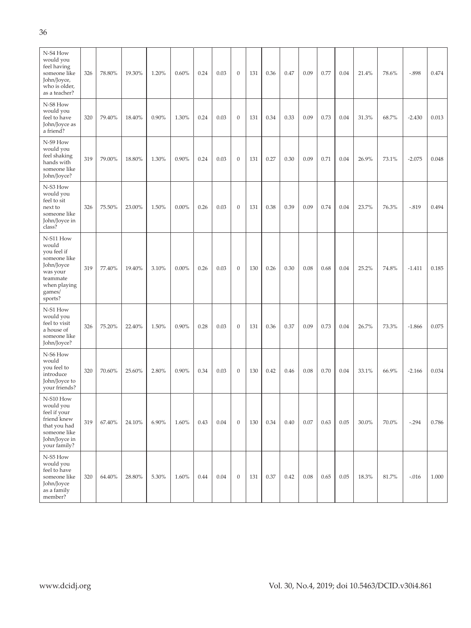| N-S4 How<br>would you<br>feel having<br>someone like<br>John/Joyce,<br>who is older,<br>as a teacher?                        | 326 | 78.80% | 19.30% | 1.20% | 0.60%    | 0.24 | 0.03 | $\mathbf{0}$     | 131 | 0.36 | 0.47 | 0.09 | 0.77 | 0.04 | 21.4% | 78.6% | $-.898$  | 0.474 |
|------------------------------------------------------------------------------------------------------------------------------|-----|--------|--------|-------|----------|------|------|------------------|-----|------|------|------|------|------|-------|-------|----------|-------|
| N-S8 How<br>would you<br>feel to have<br>John/Joyce as<br>a friend?                                                          | 320 | 79.40% | 18.40% | 0.90% | 1.30%    | 0.24 | 0.03 | $\boldsymbol{0}$ | 131 | 0.34 | 0.33 | 0.09 | 0.73 | 0.04 | 31.3% | 68.7% | $-2.430$ | 0.013 |
| N-S9 How<br>would you<br>feel shaking<br>hands with<br>someone like<br>John/Joyce?                                           | 319 | 79.00% | 18.80% | 1.30% | 0.90%    | 0.24 | 0.03 | $\boldsymbol{0}$ | 131 | 0.27 | 0.30 | 0.09 | 0.71 | 0.04 | 26.9% | 73.1% | $-2.075$ | 0.048 |
| N-S3 How<br>would you<br>feel to sit<br>next to<br>someone like<br>John/Joyce in<br>class?                                   | 326 | 75.50% | 23.00% | 1.50% | $0.00\%$ | 0.26 | 0.03 | $\mathbf{0}$     | 131 | 0.38 | 0.39 | 0.09 | 0.74 | 0.04 | 23.7% | 76.3% | $-.819$  | 0.494 |
| N-S11 How<br>would<br>you feel if<br>someone like<br>John/Joyce<br>was your<br>teammate<br>when playing<br>games/<br>sports? | 319 | 77.40% | 19.40% | 3.10% | $0.00\%$ | 0.26 | 0.03 | $\mathbf{0}$     | 130 | 0.26 | 0.30 | 0.08 | 0.68 | 0.04 | 25.2% | 74.8% | $-1.411$ | 0.185 |
| N-S1 How<br>would you<br>feel to visit<br>a house of<br>someone like<br>John/Joyce?                                          | 326 | 75.20% | 22.40% | 1.50% | 0.90%    | 0.28 | 0.03 | $\boldsymbol{0}$ | 131 | 0.36 | 0.37 | 0.09 | 0.73 | 0.04 | 26.7% | 73.3% | $-1.866$ | 0.075 |
| N-S6 How<br>would<br>you feel to<br>introduce<br>John/Joyce to<br>your friends?                                              | 320 | 70.60% | 25.60% | 2.80% | 0.90%    | 0.34 | 0.03 | $\mathbf{0}$     | 130 | 0.42 | 0.46 | 0.08 | 0.70 | 0.04 | 33.1% | 66.9% | $-2.166$ | 0.034 |
| N-S10 How<br>would you<br>feel if your<br>friend knew<br>that you had<br>someone like<br>John/Joyce in<br>your family?       | 319 | 67.40% | 24.10% | 6.90% | 1.60%    | 0.43 | 0.04 | $\boldsymbol{0}$ | 130 | 0.34 | 0.40 | 0.07 | 0.63 | 0.05 | 30.0% | 70.0% | $-.294$  | 0.786 |
| N-S5 How<br>would you<br>feel to have<br>someone like<br>John/Joyce<br>as a family<br>member?                                | 320 | 64.40% | 28.80% | 5.30% | 1.60%    | 0.44 | 0.04 | $\mathbf{0}$     | 131 | 0.37 | 0.42 | 0.08 | 0.65 | 0.05 | 18.3% | 81.7% | $-.016$  | 1.000 |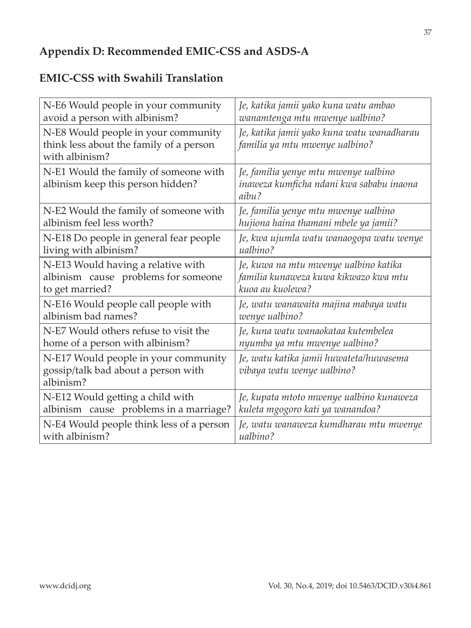### **Appendix D: Recommended EMIC-CSS and ASDS-A**

## **EMIC-CSS with Swahili Translation**

| N-E6 Would people in your community                                                              | Je, katika jamii yako kuna watu ambao                                                     |
|--------------------------------------------------------------------------------------------------|-------------------------------------------------------------------------------------------|
| avoid a person with albinism?                                                                    | wanamtenga mtu mwenye ualbino?                                                            |
| N-E8 Would people in your community<br>think less about the family of a person<br>with albinism? | Je, katika jamii yako kuna watu wanadharau<br>familia ya mtu mwenye ualbino?              |
| N-E1 Would the family of someone with<br>albinism keep this person hidden?                       | Je, familia yenye mtu mwenye ualbino<br>inaweza kumficha ndani kwa sababu inaona<br>aibu? |
| N-E2 Would the family of someone with                                                            | Je, familia yenye mtu mwenye ualbino                                                      |
| albinism feel less worth?                                                                        | hujiona haina thamani mbele ya jamii?                                                     |
| N-E18 Do people in general fear people                                                           | Je, kwa ujumla watu wanaogopa watu wenye                                                  |
| living with albinism?                                                                            | ualbino?                                                                                  |
| N-E13 Would having a relative with                                                               | Je, kuwa na mtu mwenye ualbino katika                                                     |
| albinism cause problems for someone                                                              | familia kunaweza kuwa kikwazo kwa mtu                                                     |
| to get married?                                                                                  | kuoa au kuolewa?                                                                          |
| N-E16 Would people call people with                                                              | Je, watu wanawaita majina mabaya watu                                                     |
| albinism bad names?                                                                              | wenye ualbino?                                                                            |
| N-E7 Would others refuse to visit the                                                            | Je, kuna watu wanaokataa kutembelea                                                       |
| home of a person with albinism?                                                                  | nyumba ya mtu mwenye ualbino?                                                             |
| N-E17 Would people in your community<br>gossip/talk bad about a person with<br>albinism?         | Je, watu katika jamii huwateta/huwasema<br>vibaya watu wenye ualbino?                     |
| N-E12 Would getting a child with                                                                 | Je, kupata mtoto mwenye ualbino kunaweza                                                  |
| albinism cause problems in a marriage?                                                           | kuleta mgogoro kati ya wanandoa?                                                          |
| N-E4 Would people think less of a person                                                         | Je, watu wanaweza kumdharau mtu mwenye                                                    |
| with albinism?                                                                                   | ualbino?                                                                                  |